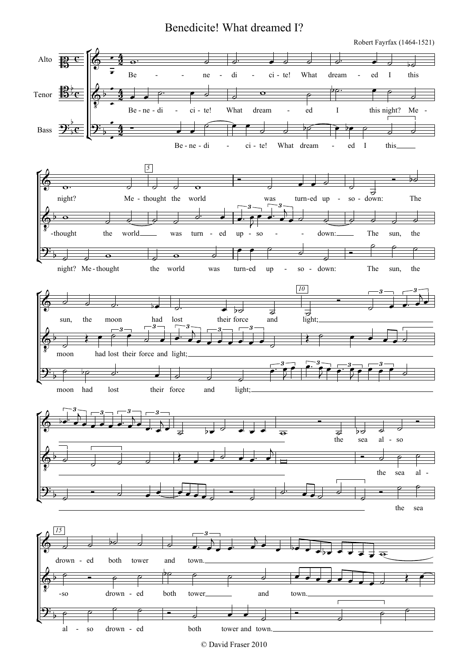## Benedicite! What dreamed I?

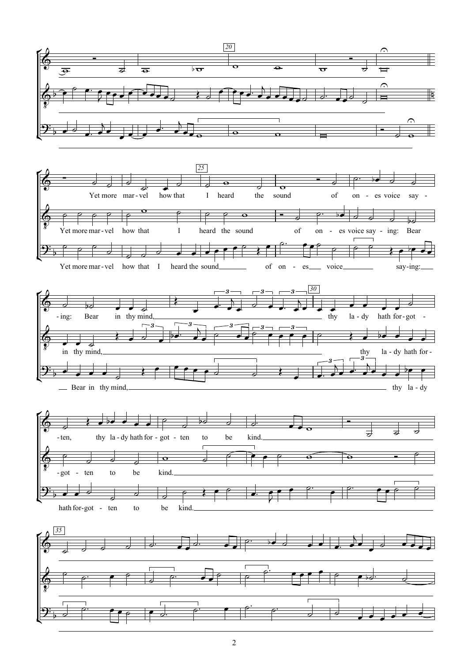